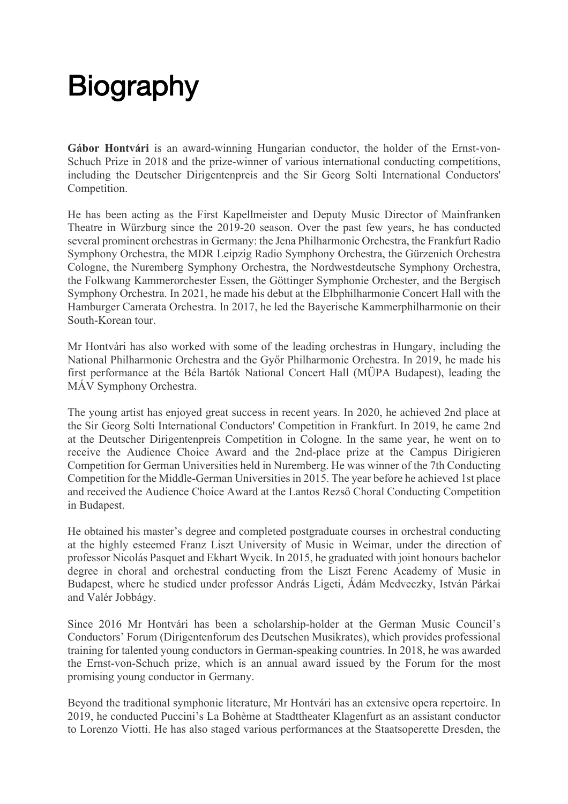## **Biography**

**Gábor Hontvári** is an award-winning Hungarian conductor, the holder of the Ernst-von-Schuch Prize in 2018 and the prize-winner of various international conducting competitions, including the Deutscher Dirigentenpreis and the Sir Georg Solti International Conductors' Competition.

He has been acting as the First Kapellmeister and Deputy Music Director of Mainfranken Theatre in Würzburg since the 2019-20 season. Over the past few years, he has conducted several prominent orchestras in Germany: the Jena Philharmonic Orchestra, the Frankfurt Radio Symphony Orchestra, the MDR Leipzig Radio Symphony Orchestra, the Gürzenich Orchestra Cologne, the Nuremberg Symphony Orchestra, the Nordwestdeutsche Symphony Orchestra, the Folkwang Kammerorchester Essen, the Göttinger Symphonie Orchester, and the Bergisch Symphony Orchestra. In 2021, he made his debut at the Elbphilharmonie Concert Hall with the Hamburger Camerata Orchestra. In 2017, he led the Bayerische Kammerphilharmonie on their South-Korean tour.

Mr Hontvári has also worked with some of the leading orchestras in Hungary, including the National Philharmonic Orchestra and the Győr Philharmonic Orchestra. In 2019, he made his first performance at the Béla Bartók National Concert Hall (MÜPA Budapest), leading the MÁV Symphony Orchestra.

The young artist has enjoyed great success in recent years. In 2020, he achieved 2nd place at the Sir Georg Solti International Conductors' Competition in Frankfurt. In 2019, he came 2nd at the Deutscher Dirigentenpreis Competition in Cologne. In the same year, he went on to receive the Audience Choice Award and the 2nd-place prize at the Campus Dirigieren Competition for German Universities held in Nuremberg. He was winner of the 7th Conducting Competition for the Middle-German Universities in 2015. The year before he achieved 1st place and received the Audience Choice Award at the Lantos Rezső Choral Conducting Competition in Budapest.

He obtained his master's degree and completed postgraduate courses in orchestral conducting at the highly esteemed Franz Liszt University of Music in Weimar, under the direction of professor Nicolás Pasquet and Ekhart Wycik. In 2015, he graduated with joint honours bachelor degree in choral and orchestral conducting from the Liszt Ferenc Academy of Music in Budapest, where he studied under professor András Ligeti, Ádám Medveczky, István Párkai and Valér Jobbágy.

Since 2016 Mr Hontvári has been a scholarship-holder at the German Music Council's Conductors' Forum (Dirigentenforum des Deutschen Musikrates), which provides professional training for talented young conductors in German-speaking countries. In 2018, he was awarded the Ernst-von-Schuch prize, which is an annual award issued by the Forum for the most promising young conductor in Germany.

Beyond the traditional symphonic literature, Mr Hontvári has an extensive opera repertoire. In 2019, he conducted Puccini's La Bohème at Stadttheater Klagenfurt as an assistant conductor to Lorenzo Viotti. He has also staged various performances at the Staatsoperette Dresden, the